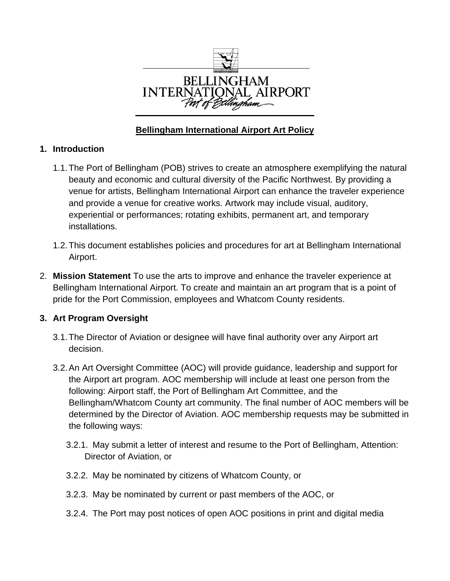

## **Bellingham International Airport Art Policy**

### **1. Introduction**

- 1.1. The Port of Bellingham (POB) strives to create an atmosphere exemplifying the natural beauty and economic and cultural diversity of the Pacific Northwest. By providing a venue for artists, Bellingham International Airport can enhance the traveler experience and provide a venue for creative works. Artwork may include visual, auditory, experiential or performances; rotating exhibits, permanent art, and temporary installations.
- 1.2. This document establishes policies and procedures for art at Bellingham International Airport.
- 2. **Mission Statement** To use the arts to improve and enhance the traveler experience at Bellingham International Airport. To create and maintain an art program that is a point of pride for the Port Commission, employees and Whatcom County residents.

## **3. Art Program Oversight**

- 3.1. The Director of Aviation or designee will have final authority over any Airport art decision.
- 3.2. An Art Oversight Committee (AOC) will provide guidance, leadership and support for the Airport art program. AOC membership will include at least one person from the following: Airport staff, the Port of Bellingham Art Committee, and the Bellingham/Whatcom County art community. The final number of AOC members will be determined by the Director of Aviation. AOC membership requests may be submitted in the following ways:
	- 3.2.1. May submit a letter of interest and resume to the Port of Bellingham, Attention: Director of Aviation, or
	- 3.2.2. May be nominated by citizens of Whatcom County, or
	- 3.2.3. May be nominated by current or past members of the AOC, or
	- 3.2.4. The Port may post notices of open AOC positions in print and digital media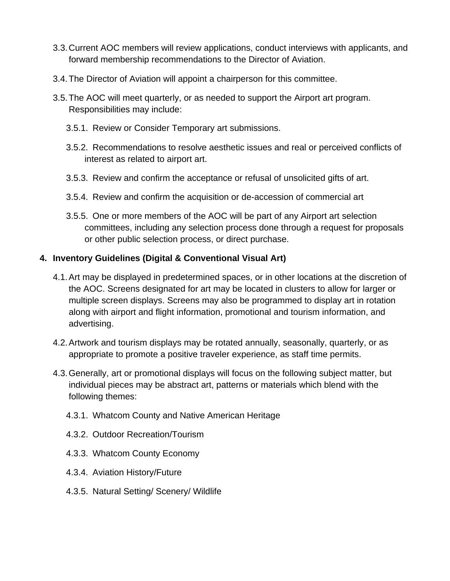- 3.3. Current AOC members will review applications, conduct interviews with applicants, and forward membership recommendations to the Director of Aviation.
- 3.4. The Director of Aviation will appoint a chairperson for this committee.
- 3.5. The AOC will meet quarterly, or as needed to support the Airport art program. Responsibilities may include:
	- 3.5.1. Review or Consider Temporary art submissions.
	- 3.5.2. Recommendations to resolve aesthetic issues and real or perceived conflicts of interest as related to airport art.
	- 3.5.3. Review and confirm the acceptance or refusal of unsolicited gifts of art.
	- 3.5.4. Review and confirm the acquisition or de-accession of commercial art
	- 3.5.5. One or more members of the AOC will be part of any Airport art selection committees, including any selection process done through a request for proposals or other public selection process, or direct purchase.

#### **4. Inventory Guidelines (Digital & Conventional Visual Art)**

- 4.1. Art may be displayed in predetermined spaces, or in other locations at the discretion of the AOC. Screens designated for art may be located in clusters to allow for larger or multiple screen displays. Screens may also be programmed to display art in rotation along with airport and flight information, promotional and tourism information, and advertising.
- 4.2. Artwork and tourism displays may be rotated annually, seasonally, quarterly, or as appropriate to promote a positive traveler experience, as staff time permits.
- 4.3. Generally, art or promotional displays will focus on the following subject matter, but individual pieces may be abstract art, patterns or materials which blend with the following themes:
	- 4.3.1. Whatcom County and Native American Heritage
	- 4.3.2. Outdoor Recreation/Tourism
	- 4.3.3. Whatcom County Economy
	- 4.3.4. Aviation History/Future
	- 4.3.5. Natural Setting/ Scenery/ Wildlife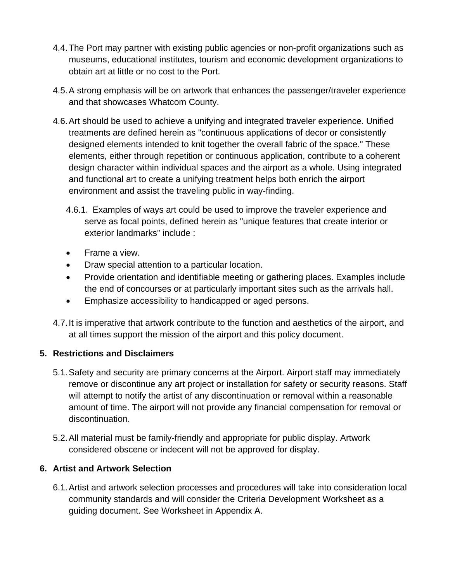- 4.4. The Port may partner with existing public agencies or non-profit organizations such as museums, educational institutes, tourism and economic development organizations to obtain art at little or no cost to the Port.
- 4.5. A strong emphasis will be on artwork that enhances the passenger/traveler experience and that showcases Whatcom County.
- 4.6. Art should be used to achieve a unifying and integrated traveler experience. Unified treatments are defined herein as "continuous applications of decor or consistently designed elements intended to knit together the overall fabric of the space." These elements, either through repetition or continuous application, contribute to a coherent design character within individual spaces and the airport as a whole. Using integrated and functional art to create a unifying treatment helps both enrich the airport environment and assist the traveling public in way-finding.
	- 4.6.1. Examples of ways art could be used to improve the traveler experience and serve as focal points, defined herein as "unique features that create interior or exterior landmarks" include :
	- Frame a view.
	- Draw special attention to a particular location.
	- Provide orientation and identifiable meeting or gathering places. Examples include the end of concourses or at particularly important sites such as the arrivals hall.
	- Emphasize accessibility to handicapped or aged persons.
- 4.7. It is imperative that artwork contribute to the function and aesthetics of the airport, and at all times support the mission of the airport and this policy document.

## **5. Restrictions and Disclaimers**

- 5.1. Safety and security are primary concerns at the Airport. Airport staff may immediately remove or discontinue any art project or installation for safety or security reasons. Staff will attempt to notify the artist of any discontinuation or removal within a reasonable amount of time. The airport will not provide any financial compensation for removal or discontinuation.
- 5.2. All material must be family-friendly and appropriate for public display. Artwork considered obscene or indecent will not be approved for display.

## **6. Artist and Artwork Selection**

6.1. Artist and artwork selection processes and procedures will take into consideration local community standards and will consider the Criteria Development Worksheet as a guiding document. See Worksheet in Appendix A.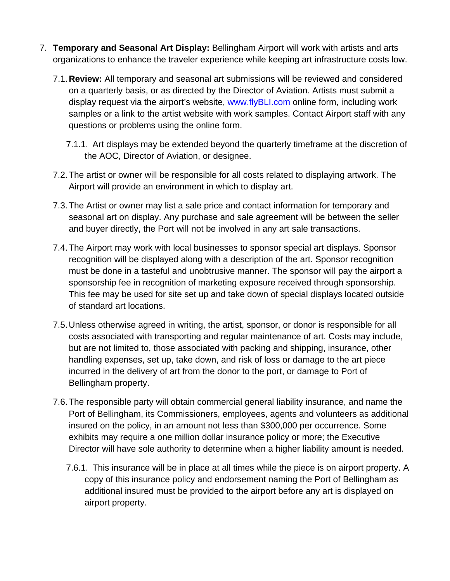- 7. **Temporary and Seasonal Art Display:** Bellingham Airport will work with artists and arts organizations to enhance the traveler experience while keeping art infrastructure costs low.
	- 7.1. **Review:** All temporary and seasonal art submissions will be reviewed and considered on a quarterly basis, or as directed by the Director of Aviation. Artists must submit a display request via the airport's website, www.flyBLI.com online form, including work samples or a link to the artist website with work samples. Contact Airport staff with any questions or problems using the online form.
		- 7.1.1. Art displays may be extended beyond the quarterly timeframe at the discretion of the AOC, Director of Aviation, or designee.
	- 7.2. The artist or owner will be responsible for all costs related to displaying artwork. The Airport will provide an environment in which to display art.
	- 7.3. The Artist or owner may list a sale price and contact information for temporary and seasonal art on display. Any purchase and sale agreement will be between the seller and buyer directly, the Port will not be involved in any art sale transactions.
	- 7.4. The Airport may work with local businesses to sponsor special art displays. Sponsor recognition will be displayed along with a description of the art. Sponsor recognition must be done in a tasteful and unobtrusive manner. The sponsor will pay the airport a sponsorship fee in recognition of marketing exposure received through sponsorship. This fee may be used for site set up and take down of special displays located outside of standard art locations.
	- 7.5. Unless otherwise agreed in writing, the artist, sponsor, or donor is responsible for all costs associated with transporting and regular maintenance of art. Costs may include, but are not limited to, those associated with packing and shipping, insurance, other handling expenses, set up, take down, and risk of loss or damage to the art piece incurred in the delivery of art from the donor to the port, or damage to Port of Bellingham property.
	- 7.6. The responsible party will obtain commercial general liability insurance, and name the Port of Bellingham, its Commissioners, employees, agents and volunteers as additional insured on the policy, in an amount not less than \$300,000 per occurrence. Some exhibits may require a one million dollar insurance policy or more; the Executive Director will have sole authority to determine when a higher liability amount is needed.
		- 7.6.1. This insurance will be in place at all times while the piece is on airport property. A copy of this insurance policy and endorsement naming the Port of Bellingham as additional insured must be provided to the airport before any art is displayed on airport property.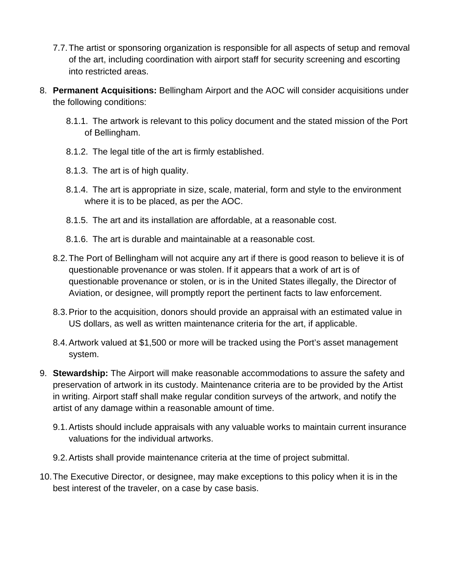- 7.7. The artist or sponsoring organization is responsible for all aspects of setup and removal of the art, including coordination with airport staff for security screening and escorting into restricted areas.
- 8. **Permanent Acquisitions:** Bellingham Airport and the AOC will consider acquisitions under the following conditions:
	- 8.1.1. The artwork is relevant to this policy document and the stated mission of the Port of Bellingham.
	- 8.1.2. The legal title of the art is firmly established.
	- 8.1.3. The art is of high quality.
	- 8.1.4. The art is appropriate in size, scale, material, form and style to the environment where it is to be placed, as per the AOC.
	- 8.1.5. The art and its installation are affordable, at a reasonable cost.
	- 8.1.6. The art is durable and maintainable at a reasonable cost.
	- 8.2. The Port of Bellingham will not acquire any art if there is good reason to believe it is of questionable provenance or was stolen. If it appears that a work of art is of questionable provenance or stolen, or is in the United States illegally, the Director of Aviation, or designee, will promptly report the pertinent facts to law enforcement.
	- 8.3. Prior to the acquisition, donors should provide an appraisal with an estimated value in US dollars, as well as written maintenance criteria for the art, if applicable.
	- 8.4. Artwork valued at \$1,500 or more will be tracked using the Port's asset management system.
- 9. **Stewardship:** The Airport will make reasonable accommodations to assure the safety and preservation of artwork in its custody. Maintenance criteria are to be provided by the Artist in writing. Airport staff shall make regular condition surveys of the artwork, and notify the artist of any damage within a reasonable amount of time.
	- 9.1. Artists should include appraisals with any valuable works to maintain current insurance valuations for the individual artworks.
	- 9.2. Artists shall provide maintenance criteria at the time of project submittal.
- 10. The Executive Director, or designee, may make exceptions to this policy when it is in the best interest of the traveler, on a case by case basis.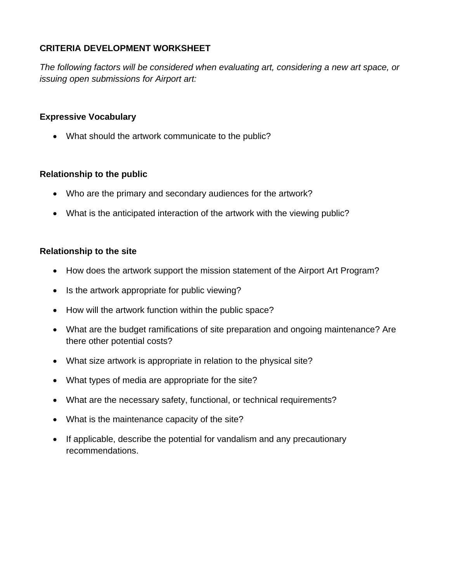### **CRITERIA DEVELOPMENT WORKSHEET**

*The following factors will be considered when evaluating art, considering a new art space, or issuing open submissions for Airport art:* 

### **Expressive Vocabulary**

• What should the artwork communicate to the public?

#### **Relationship to the public**

- Who are the primary and secondary audiences for the artwork?
- What is the anticipated interaction of the artwork with the viewing public?

#### **Relationship to the site**

- How does the artwork support the mission statement of the Airport Art Program?
- Is the artwork appropriate for public viewing?
- How will the artwork function within the public space?
- What are the budget ramifications of site preparation and ongoing maintenance? Are there other potential costs?
- What size artwork is appropriate in relation to the physical site?
- What types of media are appropriate for the site?
- What are the necessary safety, functional, or technical requirements?
- What is the maintenance capacity of the site?
- If applicable, describe the potential for vandalism and any precautionary recommendations.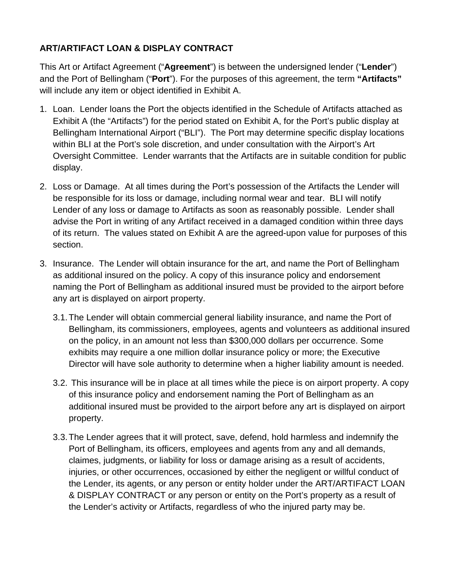# **ART/ARTIFACT LOAN & DISPLAY CONTRACT**

This Art or Artifact Agreement ("**Agreement**") is between the undersigned lender ("**Lender**") and the Port of Bellingham ("**Port**"). For the purposes of this agreement, the term **"Artifacts"** will include any item or object identified in Exhibit A.

- 1. Loan. Lender loans the Port the objects identified in the Schedule of Artifacts attached as Exhibit A (the "Artifacts") for the period stated on Exhibit A, for the Port's public display at Bellingham International Airport ("BLI"). The Port may determine specific display locations within BLI at the Port's sole discretion, and under consultation with the Airport's Art Oversight Committee. Lender warrants that the Artifacts are in suitable condition for public display.
- 2. Loss or Damage. At all times during the Port's possession of the Artifacts the Lender will be responsible for its loss or damage, including normal wear and tear. BLI will notify Lender of any loss or damage to Artifacts as soon as reasonably possible. Lender shall advise the Port in writing of any Artifact received in a damaged condition within three days of its return. The values stated on Exhibit A are the agreed-upon value for purposes of this section.
- 3. Insurance. The Lender will obtain insurance for the art, and name the Port of Bellingham as additional insured on the policy. A copy of this insurance policy and endorsement naming the Port of Bellingham as additional insured must be provided to the airport before any art is displayed on airport property.
	- 3.1. The Lender will obtain commercial general liability insurance, and name the Port of Bellingham, its commissioners, employees, agents and volunteers as additional insured on the policy, in an amount not less than \$300,000 dollars per occurrence. Some exhibits may require a one million dollar insurance policy or more; the Executive Director will have sole authority to determine when a higher liability amount is needed.
	- 3.2. This insurance will be in place at all times while the piece is on airport property. A copy of this insurance policy and endorsement naming the Port of Bellingham as an additional insured must be provided to the airport before any art is displayed on airport property.
	- 3.3. The Lender agrees that it will protect, save, defend, hold harmless and indemnify the Port of Bellingham, its officers, employees and agents from any and all demands, claimes, judgments, or liability for loss or damage arising as a result of accidents, injuries, or other occurrences, occasioned by either the negligent or willful conduct of the Lender, its agents, or any person or entity holder under the ART/ARTIFACT LOAN & DISPLAY CONTRACT or any person or entity on the Port's property as a result of the Lender's activity or Artifacts, regardless of who the injured party may be.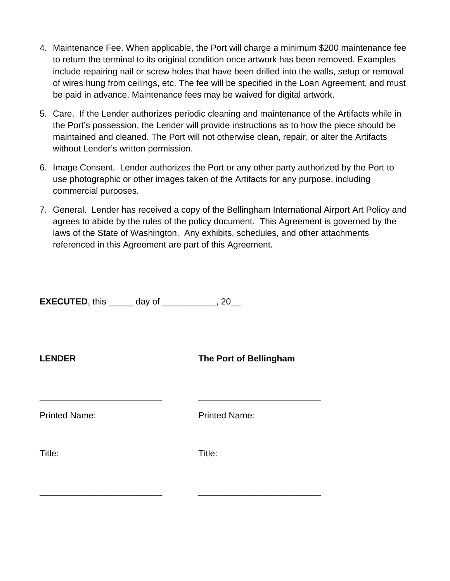- 4. Maintenance Fee. When applicable, the Port will charge a minimum \$200 maintenance fee to return the terminal to its original condition once artwork has been removed. Examples include repairing nail or screw holes that have been drilled into the walls, setup or removal of wires hung from ceilings, etc. The fee will be specified in the Loan Agreement, and must be paid in advance. Maintenance fees may be waived for digital artwork.
- 5. Care. If the Lender authorizes periodic cleaning and maintenance of the Artifacts while in the Port's possession, the Lender will provide instructions as to how the piece should be maintained and cleaned. The Port will not otherwise clean, repair, or alter the Artifacts without Lender's written permission.
- 6. Image Consent. Lender authorizes the Port or any other party authorized by the Port to use photographic or other images taken of the Artifacts for any purpose, including commercial purposes.
- 7. General. Lender has received a copy of the Bellingham International Airport Art Policy and agrees to abide by the rules of the policy document. This Agreement is governed by the laws of the State of Washington. Any exhibits, schedules, and other attachments referenced in this Agreement are part of this Agreement.

**EXECUTED**, this \_\_\_\_\_\_ day of \_\_\_\_\_\_\_\_\_\_\_, 20\_\_

**LENDER The Port of Bellingham** 

Printed Name: Printed Name:

Title: Title:

\_\_\_\_\_\_\_\_\_\_\_\_\_\_\_\_\_\_\_\_\_\_\_\_\_ \_\_\_\_\_\_\_\_\_\_\_\_\_\_\_\_\_\_\_\_\_\_\_\_\_

\_\_\_\_\_\_\_\_\_\_\_\_\_\_\_\_\_\_\_\_\_\_\_\_\_ \_\_\_\_\_\_\_\_\_\_\_\_\_\_\_\_\_\_\_\_\_\_\_\_\_